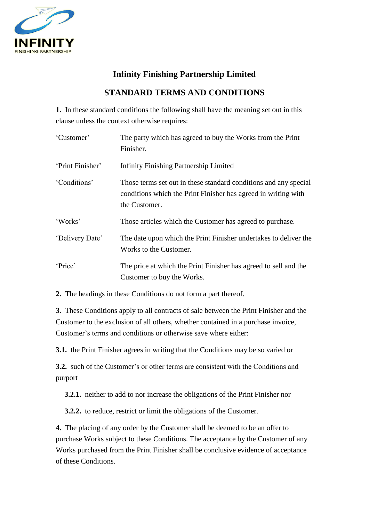

# **Infinity Finishing Partnership Limited**

# **STANDARD TERMS AND CONDITIONS**

**1.** In these standard conditions the following shall have the meaning set out in this clause unless the context otherwise requires:

| 'Customer'       | The party which has agreed to buy the Works from the Print<br>Finisher.                                                                             |
|------------------|-----------------------------------------------------------------------------------------------------------------------------------------------------|
| 'Print Finisher' | <b>Infinity Finishing Partnership Limited</b>                                                                                                       |
| 'Conditions'     | Those terms set out in these standard conditions and any special<br>conditions which the Print Finisher has agreed in writing with<br>the Customer. |
| 'Works'          | Those articles which the Customer has agreed to purchase.                                                                                           |
| 'Delivery Date'  | The date upon which the Print Finisher undertakes to deliver the<br>Works to the Customer.                                                          |
| 'Price'          | The price at which the Print Finisher has agreed to sell and the<br>Customer to buy the Works.                                                      |

**2.** The headings in these Conditions do not form a part thereof.

**3.** These Conditions apply to all contracts of sale between the Print Finisher and the Customer to the exclusion of all others, whether contained in a purchase invoice, Customer's terms and conditions or otherwise save where either:

**3.1.** the Print Finisher agrees in writing that the Conditions may be so varied or

**3.2.** such of the Customer's or other terms are consistent with the Conditions and purport

**3.2.1.** neither to add to nor increase the obligations of the Print Finisher nor

**3.2.2.** to reduce, restrict or limit the obligations of the Customer.

**4.** The placing of any order by the Customer shall be deemed to be an offer to purchase Works subject to these Conditions. The acceptance by the Customer of any Works purchased from the Print Finisher shall be conclusive evidence of acceptance of these Conditions.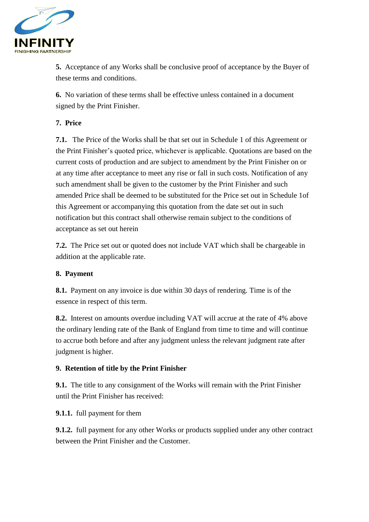

**5.** Acceptance of any Works shall be conclusive proof of acceptance by the Buyer of these terms and conditions.

**6.** No variation of these terms shall be effective unless contained in a document signed by the Print Finisher.

# **7. Price**

**7.1.** The Price of the Works shall be that set out in Schedule 1 of this Agreement or the Print Finisher's quoted price, whichever is applicable. Quotations are based on the current costs of production and are subject to amendment by the Print Finisher on or at any time after acceptance to meet any rise or fall in such costs. Notification of any such amendment shall be given to the customer by the Print Finisher and such amended Price shall be deemed to be substituted for the Price set out in Schedule 1of this Agreement or accompanying this quotation from the date set out in such notification but this contract shall otherwise remain subject to the conditions of acceptance as set out herein

**7.2.** The Price set out or quoted does not include VAT which shall be chargeable in addition at the applicable rate.

# **8. Payment**

**8.1.** Payment on any invoice is due within 30 days of rendering. Time is of the essence in respect of this term.

**8.2.** Interest on amounts overdue including VAT will accrue at the rate of 4% above the ordinary lending rate of the Bank of England from time to time and will continue to accrue both before and after any judgment unless the relevant judgment rate after judgment is higher.

# **9. Retention of title by the Print Finisher**

**9.1.** The title to any consignment of the Works will remain with the Print Finisher until the Print Finisher has received:

**9.1.1.** full payment for them

**9.1.2.** full payment for any other Works or products supplied under any other contract between the Print Finisher and the Customer.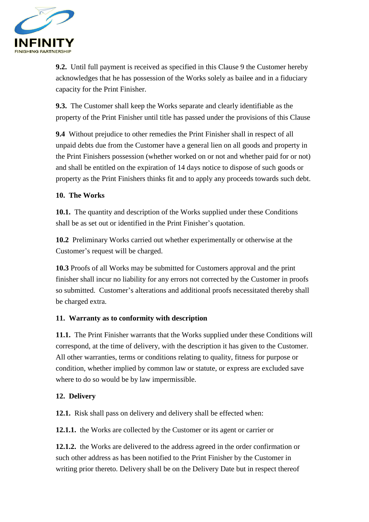

**9.2.** Until full payment is received as specified in this Clause 9 the Customer hereby acknowledges that he has possession of the Works solely as bailee and in a fiduciary capacity for the Print Finisher.

**9.3.** The Customer shall keep the Works separate and clearly identifiable as the property of the Print Finisher until title has passed under the provisions of this Clause

**9.4** Without prejudice to other remedies the Print Finisher shall in respect of all unpaid debts due from the Customer have a general lien on all goods and property in the Print Finishers possession (whether worked on or not and whether paid for or not) and shall be entitled on the expiration of 14 days notice to dispose of such goods or property as the Print Finishers thinks fit and to apply any proceeds towards such debt.

# **10. The Works**

**10.1.** The quantity and description of the Works supplied under these Conditions shall be as set out or identified in the Print Finisher's quotation.

**10.2** Preliminary Works carried out whether experimentally or otherwise at the Customer's request will be charged.

**10.3** Proofs of all Works may be submitted for Customers approval and the print finisher shall incur no liability for any errors not corrected by the Customer in proofs so submitted. Customer's alterations and additional proofs necessitated thereby shall be charged extra.

# **11. Warranty as to conformity with description**

**11.1.** The Print Finisher warrants that the Works supplied under these Conditions will correspond, at the time of delivery, with the description it has given to the Customer. All other warranties, terms or conditions relating to quality, fitness for purpose or condition, whether implied by common law or statute, or express are excluded save where to do so would be by law impermissible.

# **12. Delivery**

**12.1.** Risk shall pass on delivery and delivery shall be effected when:

**12.1.1.** the Works are collected by the Customer or its agent or carrier or

**12.1.2.** the Works are delivered to the address agreed in the order confirmation or such other address as has been notified to the Print Finisher by the Customer in writing prior thereto. Delivery shall be on the Delivery Date but in respect thereof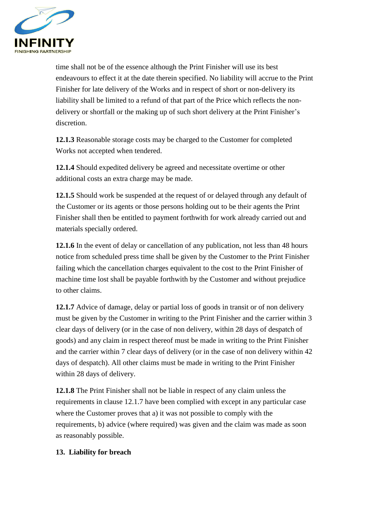

time shall not be of the essence although the Print Finisher will use its best endeavours to effect it at the date therein specified. No liability will accrue to the Print Finisher for late delivery of the Works and in respect of short or non-delivery its liability shall be limited to a refund of that part of the Price which reflects the nondelivery or shortfall or the making up of such short delivery at the Print Finisher's discretion.

**12.1.3** Reasonable storage costs may be charged to the Customer for completed Works not accepted when tendered.

**12.1.4** Should expedited delivery be agreed and necessitate overtime or other additional costs an extra charge may be made.

**12.1.5** Should work be suspended at the request of or delayed through any default of the Customer or its agents or those persons holding out to be their agents the Print Finisher shall then be entitled to payment forthwith for work already carried out and materials specially ordered.

**12.1.6** In the event of delay or cancellation of any publication, not less than 48 hours notice from scheduled press time shall be given by the Customer to the Print Finisher failing which the cancellation charges equivalent to the cost to the Print Finisher of machine time lost shall be payable forthwith by the Customer and without prejudice to other claims.

**12.1.7** Advice of damage, delay or partial loss of goods in transit or of non delivery must be given by the Customer in writing to the Print Finisher and the carrier within 3 clear days of delivery (or in the case of non delivery, within 28 days of despatch of goods) and any claim in respect thereof must be made in writing to the Print Finisher and the carrier within 7 clear days of delivery (or in the case of non delivery within 42 days of despatch). All other claims must be made in writing to the Print Finisher within 28 days of delivery.

**12.1.8** The Print Finisher shall not be liable in respect of any claim unless the requirements in clause 12.1.7 have been complied with except in any particular case where the Customer proves that a) it was not possible to comply with the requirements, b) advice (where required) was given and the claim was made as soon as reasonably possible.

# **13. Liability for breach**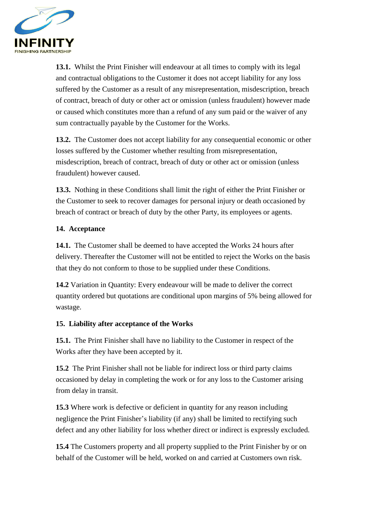

**13.1.** Whilst the Print Finisher will endeavour at all times to comply with its legal and contractual obligations to the Customer it does not accept liability for any loss suffered by the Customer as a result of any misrepresentation, misdescription, breach of contract, breach of duty or other act or omission (unless fraudulent) however made or caused which constitutes more than a refund of any sum paid or the waiver of any sum contractually payable by the Customer for the Works.

**13.2.** The Customer does not accept liability for any consequential economic or other losses suffered by the Customer whether resulting from misrepresentation, misdescription, breach of contract, breach of duty or other act or omission (unless fraudulent) however caused.

**13.3.** Nothing in these Conditions shall limit the right of either the Print Finisher or the Customer to seek to recover damages for personal injury or death occasioned by breach of contract or breach of duty by the other Party, its employees or agents.

## **14. Acceptance**

**14.1.** The Customer shall be deemed to have accepted the Works 24 hours after delivery. Thereafter the Customer will not be entitled to reject the Works on the basis that they do not conform to those to be supplied under these Conditions.

**14.2** Variation in Quantity: Every endeavour will be made to deliver the correct quantity ordered but quotations are conditional upon margins of 5% being allowed for wastage.

### **15. Liability after acceptance of the Works**

**15.1.** The Print Finisher shall have no liability to the Customer in respect of the Works after they have been accepted by it.

**15.2** The Print Finisher shall not be liable for indirect loss or third party claims occasioned by delay in completing the work or for any loss to the Customer arising from delay in transit.

**15.3** Where work is defective or deficient in quantity for any reason including negligence the Print Finisher's liability (if any) shall be limited to rectifying such defect and any other liability for loss whether direct or indirect is expressly excluded.

**15.4** The Customers property and all property supplied to the Print Finisher by or on behalf of the Customer will be held, worked on and carried at Customers own risk.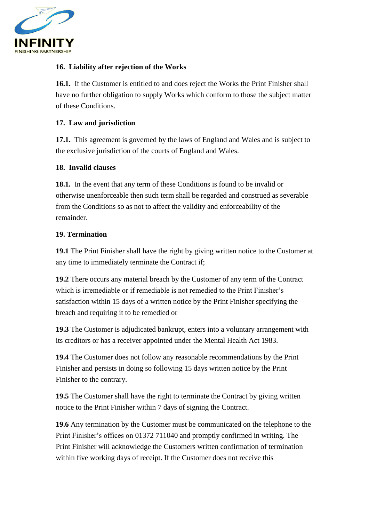

## **16. Liability after rejection of the Works**

**16.1.** If the Customer is entitled to and does reject the Works the Print Finisher shall have no further obligation to supply Works which conform to those the subject matter of these Conditions.

### **17. Law and jurisdiction**

**17.1.** This agreement is governed by the laws of England and Wales and is subject to the exclusive jurisdiction of the courts of England and Wales.

### **18. Invalid clauses**

**18.1.** In the event that any term of these Conditions is found to be invalid or otherwise unenforceable then such term shall be regarded and construed as severable from the Conditions so as not to affect the validity and enforceability of the remainder.

## **19. Termination**

**19.1** The Print Finisher shall have the right by giving written notice to the Customer at any time to immediately terminate the Contract if;

**19.2** There occurs any material breach by the Customer of any term of the Contract which is irremediable or if remediable is not remedied to the Print Finisher's satisfaction within 15 days of a written notice by the Print Finisher specifying the breach and requiring it to be remedied or

**19.3** The Customer is adjudicated bankrupt, enters into a voluntary arrangement with its creditors or has a receiver appointed under the Mental Health Act 1983.

**19.4** The Customer does not follow any reasonable recommendations by the Print Finisher and persists in doing so following 15 days written notice by the Print Finisher to the contrary.

**19.5** The Customer shall have the right to terminate the Contract by giving written notice to the Print Finisher within 7 days of signing the Contract.

**19.6** Any termination by the Customer must be communicated on the telephone to the Print Finisher's offices on 01372 711040 and promptly confirmed in writing. The Print Finisher will acknowledge the Customers written confirmation of termination within five working days of receipt. If the Customer does not receive this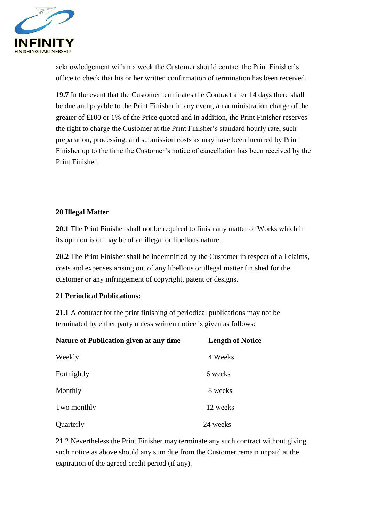

acknowledgement within a week the Customer should contact the Print Finisher's office to check that his or her written confirmation of termination has been received.

**19.7** In the event that the Customer terminates the Contract after 14 days there shall be due and payable to the Print Finisher in any event, an administration charge of the greater of £100 or 1% of the Price quoted and in addition, the Print Finisher reserves the right to charge the Customer at the Print Finisher's standard hourly rate, such preparation, processing, and submission costs as may have been incurred by Print Finisher up to the time the Customer's notice of cancellation has been received by the Print Finisher.

# **20 Illegal Matter**

**20.1** The Print Finisher shall not be required to finish any matter or Works which in its opinion is or may be of an illegal or libellous nature.

**20.2** The Print Finisher shall be indemnified by the Customer in respect of all claims, costs and expenses arising out of any libellous or illegal matter finished for the customer or any infringement of copyright, patent or designs.

### **21 Periodical Publications:**

**21.1** A contract for the print finishing of periodical publications may not be terminated by either party unless written notice is given as follows:

| Nature of Publication given at any time | <b>Length of Notice</b> |
|-----------------------------------------|-------------------------|
| Weekly                                  | 4 Weeks                 |
| Fortnightly                             | 6 weeks                 |
| Monthly                                 | 8 weeks                 |
| Two monthly                             | 12 weeks                |
| Quarterly                               | 24 weeks                |

21.2 Nevertheless the Print Finisher may terminate any such contract without giving such notice as above should any sum due from the Customer remain unpaid at the expiration of the agreed credit period (if any).